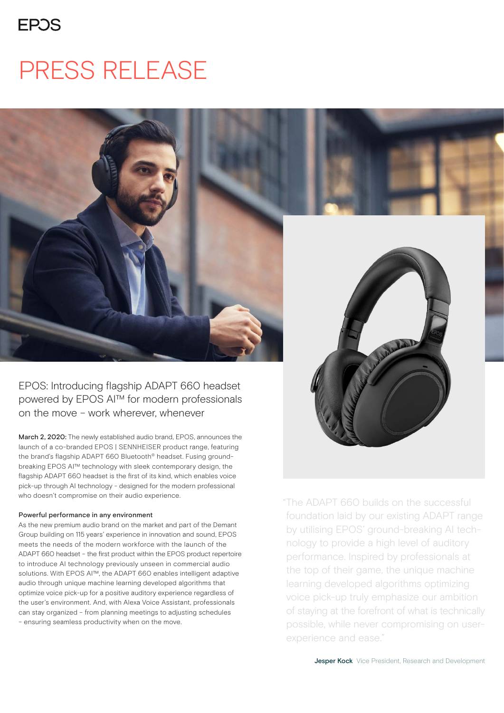### **FPOS**

## PRESS RELEASE



EPOS: Introducing flagship ADAPT 660 headset powered by EPOS AI™ for modern professionals on the move – work wherever, whenever

March 2, 2020: The newly established audio brand, EPOS, announces the launch of a co-branded EPOS | SENNHEISER product range, featuring the brand's flagship ADAPT 660 Bluetooth® headset. Fusing groundbreaking EPOS AI™ technology with sleek contemporary design, the flagship ADAPT 660 headset is the first of its kind, which enables voice pick-up through AI technology - designed for the modern professional who doesn't compromise on their audio experience.

#### Powerful performance in any environment

As the new premium audio brand on the market and part of the Demant Group building on 115 years' experience in innovation and sound, EPOS meets the needs of the modern workforce with the launch of the ADAPT 660 headset – the first product within the EPOS product repertoire to introduce AI technology previously unseen in commercial audio solutions. With EPOS AI™, the ADAPT 660 enables intelligent adaptive audio through unique machine learning developed algorithms that optimize voice pick-up for a positive auditory experience regardless of the user's environment. And, with Alexa Voice Assistant, professionals can stay organized – from planning meetings to adjusting schedules – ensuring seamless productivity when on the move.

"The ADAPT 660 builds on the successful foundation laid by our existing ADAPT range by utilising EPOS' ground-breaking AI technology to provide a high level of auditory performance. Inspired by professionals at the top of their game, the unique machine learning developed algorithms optimizing voice pick-up truly emphasize our ambition of staying at the forefront of what is technically possible, while never compromising on userexperience and ease."